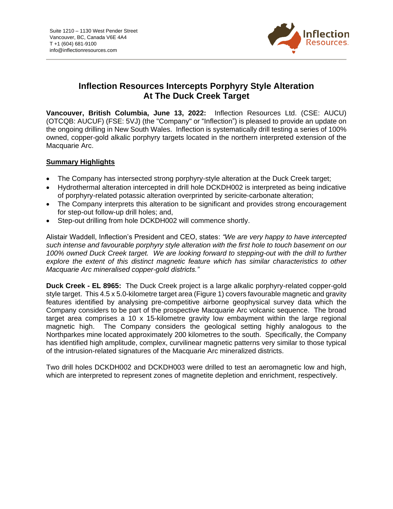

# **Inflection Resources Intercepts Porphyry Style Alteration At The Duck Creek Target**

**Vancouver, British Columbia, June 13, 2022:** Inflection Resources Ltd. (CSE: AUCU) (OTCQB: AUCUF) (FSE: 5VJ) (the "Company" or "Inflection") is pleased to provide an update on the ongoing drilling in New South Wales. Inflection is systematically drill testing a series of 100% owned, copper-gold alkalic porphyry targets located in the northern interpreted extension of the Macquarie Arc.

## **Summary Highlights**

- The Company has intersected strong porphyry-style alteration at the Duck Creek target;
- Hydrothermal alteration intercepted in drill hole DCKDH002 is interpreted as being indicative of porphyry-related potassic alteration overprinted by sericite-carbonate alteration;
- The Company interprets this alteration to be significant and provides strong encouragement for step-out follow-up drill holes; and,
- Step-out drilling from hole DCKDH002 will commence shortly.

Alistair Waddell, Inflection's President and CEO, states: *"We are very happy to have intercepted such intense and favourable porphyry style alteration with the first hole to touch basement on our 100% owned Duck Creek target. We are looking forward to stepping-out with the drill to further explore the extent of this distinct magnetic feature which has similar characteristics to other Macquarie Arc mineralised copper-gold districts."*

**Duck Creek - EL 8965:** The Duck Creek project is a large alkalic porphyry-related copper-gold style target. This 4.5 x 5.0-kilometre target area (Figure 1) covers favourable magnetic and gravity features identified by analysing pre-competitive airborne geophysical survey data which the Company considers to be part of the prospective Macquarie Arc volcanic sequence. The broad target area comprises a 10 x 15-kilometre gravity low embayment within the large regional magnetic high. The Company considers the geological setting highly analogous to the Northparkes mine located approximately 200 kilometres to the south. Specifically, the Company has identified high amplitude, complex, curvilinear magnetic patterns very similar to those typical of the intrusion-related signatures of the Macquarie Arc mineralized districts.

Two drill holes DCKDH002 and DCKDH003 were drilled to test an aeromagnetic low and high, which are interpreted to represent zones of magnetite depletion and enrichment, respectively.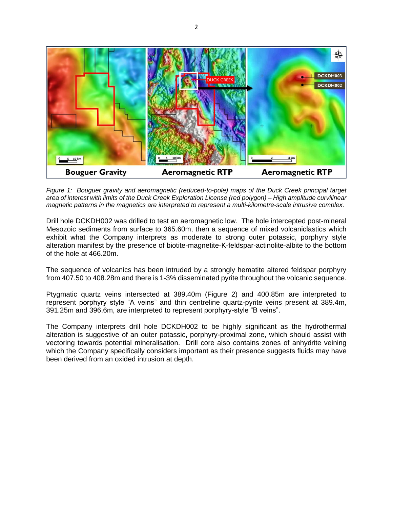

*Figure 1: Bouguer gravity and aeromagnetic (reduced-to-pole) maps of the Duck Creek principal target area of interest with limits of the Duck Creek Exploration License (red polygon) – High amplitude curvilinear magnetic patterns in the magnetics are interpreted to represent a multi-kilometre-scale intrusive complex.*

Drill hole DCKDH002 was drilled to test an aeromagnetic low. The hole intercepted post-mineral Mesozoic sediments from surface to 365.60m, then a sequence of mixed volcaniclastics which exhibit what the Company interprets as moderate to strong outer potassic, porphyry style alteration manifest by the presence of biotite-magnetite-K-feldspar-actinolite-albite to the bottom of the hole at 466.20m.

The sequence of volcanics has been intruded by a strongly hematite altered feldspar porphyry from 407.50 to 408.28m and there is 1-3% disseminated pyrite throughout the volcanic sequence.

Ptygmatic quartz veins intersected at 389.40m (Figure 2) and 400.85m are interpreted to represent porphyry style "A veins" and thin centreline quartz-pyrite veins present at 389.4m, 391.25m and 396.6m, are interpreted to represent porphyry-style "B veins".

The Company interprets drill hole DCKDH002 to be highly significant as the hydrothermal alteration is suggestive of an outer potassic, porphyry-proximal zone, which should assist with vectoring towards potential mineralisation. Drill core also contains zones of anhydrite veining which the Company specifically considers important as their presence suggests fluids may have been derived from an oxided intrusion at depth.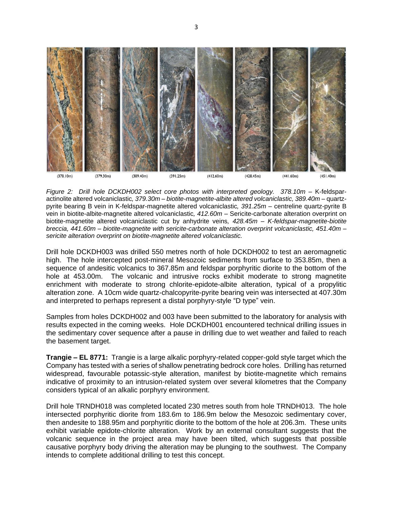

*Figure 2: Drill hole DCKDH002 select core photos with interpreted geology. 378.10m –* K-feldsparactinolite altered volcaniclastic*, 379.30m – biotite-magnetite-albite altered volcaniclastic, 389.40m –* quartzpyrite bearing B vein in K-feldspar-magnetite altered volcaniclastic*, 391.25m –* centreline quartz-pyrite B vein in biotite-albite-magnetite altered volcaniclastic*, 412.60m –* Sericite-carbonate alteration overprint on biotite-magnetite altered volcaniclastic cut by anhydrite veins*, 428.45m – K-feldspar-magnetite-biotite breccia, 441.60m – biotite-magnetite with sericite-carbonate alteration overprint volcaniclastic, 451.40m – sericite alteration overprint on biotite-magnetite altered volcaniclastic.*

Drill hole DCKDH003 was drilled 550 metres north of hole DCKDH002 to test an aeromagnetic high. The hole intercepted post-mineral Mesozoic sediments from surface to 353.85m, then a sequence of andesitic volcanics to 367.85m and feldspar porphyritic diorite to the bottom of the hole at 453.00m. The volcanic and intrusive rocks exhibit moderate to strong magnetite enrichment with moderate to strong chlorite-epidote-albite alteration, typical of a propylitic alteration zone. A 10cm wide quartz-chalcopyrite-pyrite bearing vein was intersected at 407.30m and interpreted to perhaps represent a distal porphyry-style "D type" vein.

Samples from holes DCKDH002 and 003 have been submitted to the laboratory for analysis with results expected in the coming weeks. Hole DCKDH001 encountered technical drilling issues in the sedimentary cover sequence after a pause in drilling due to wet weather and failed to reach the basement target.

**Trangie – EL 8771:** Trangie is a large alkalic porphyry-related copper-gold style target which the Company has tested with a series of shallow penetrating bedrock core holes. Drilling has returned widespread, favourable potassic-style alteration, manifest by biotite-magnetite which remains indicative of proximity to an intrusion-related system over several kilometres that the Company considers typical of an alkalic porphyry environment.

Drill hole TRNDH018 was completed located 230 metres south from hole TRNDH013. The hole intersected porphyritic diorite from 183.6m to 186.9m below the Mesozoic sedimentary cover, then andesite to 188.95m and porphyritic diorite to the bottom of the hole at 206.3m. These units exhibit variable epidote-chlorite alteration. Work by an external consultant suggests that the volcanic sequence in the project area may have been tilted, which suggests that possible causative porphyry body driving the alteration may be plunging to the southwest. The Company intends to complete additional drilling to test this concept.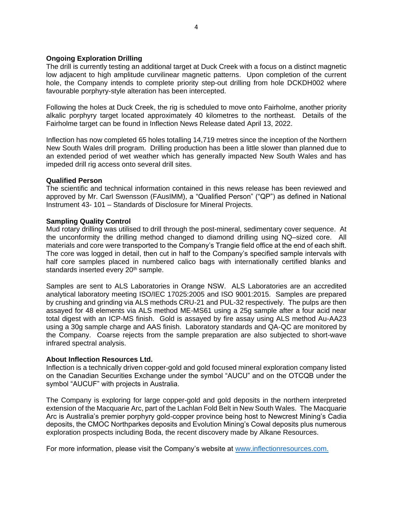### **Ongoing Exploration Drilling**

The drill is currently testing an additional target at Duck Creek with a focus on a distinct magnetic low adjacent to high amplitude curvilinear magnetic patterns. Upon completion of the current hole, the Company intends to complete priority step-out drilling from hole DCKDH002 where favourable porphyry-style alteration has been intercepted.

Following the holes at Duck Creek, the rig is scheduled to move onto Fairholme, another priority alkalic porphyry target located approximately 40 kilometres to the northeast. Details of the Fairholme target can be found in Inflection News Release dated April 13, 2022.

Inflection has now completed 65 holes totalling 14,719 metres since the inception of the Northern New South Wales drill program. Drilling production has been a little slower than planned due to an extended period of wet weather which has generally impacted New South Wales and has impeded drill rig access onto several drill sites.

### **Qualified Person**

The scientific and technical information contained in this news release has been reviewed and approved by Mr. Carl Swensson (FAusIMM), a "Qualified Person" ("QP") as defined in National Instrument 43- 101 – Standards of Disclosure for Mineral Projects.

## **Sampling Quality Control**

Mud rotary drilling was utilised to drill through the post-mineral, sedimentary cover sequence. At the unconformity the drilling method changed to diamond drilling using NQ–sized core. All materials and core were transported to the Company's Trangie field office at the end of each shift. The core was logged in detail, then cut in half to the Company's specified sample intervals with half core samples placed in numbered calico bags with internationally certified blanks and standards inserted every 20<sup>th</sup> sample.

Samples are sent to ALS Laboratories in Orange NSW. ALS Laboratories are an accredited analytical laboratory meeting ISO/IEC 17025:2005 and ISO 9001:2015. Samples are prepared by crushing and grinding via ALS methods CRU-21 and PUL-32 respectively. The pulps are then assayed for 48 elements via ALS method ME-MS61 using a 25g sample after a four acid near total digest with an ICP-MS finish. Gold is assayed by fire assay using ALS method Au-AA23 using a 30g sample charge and AAS finish. Laboratory standards and QA-QC are monitored by the Company. Coarse rejects from the sample preparation are also subjected to short-wave infrared spectral analysis.

### **About Inflection Resources Ltd.**

Inflection is a technically driven copper-gold and gold focused mineral exploration company listed on the Canadian Securities Exchange under the symbol "AUCU" and on the OTCQB under the symbol "AUCUF" with projects in Australia.

The Company is exploring for large copper-gold and gold deposits in the northern interpreted extension of the Macquarie Arc, part of the Lachlan Fold Belt in New South Wales. The Macquarie Arc is Australia's premier porphyry gold-copper province being host to Newcrest Mining's Cadia deposits, the CMOC Northparkes deposits and Evolution Mining's Cowal deposits plus numerous exploration prospects including Boda, the recent discovery made by Alkane Resources.

For more information, please visit the Company's website at [www.inflectionresources.com.](http://www.inflectionresources.com/)